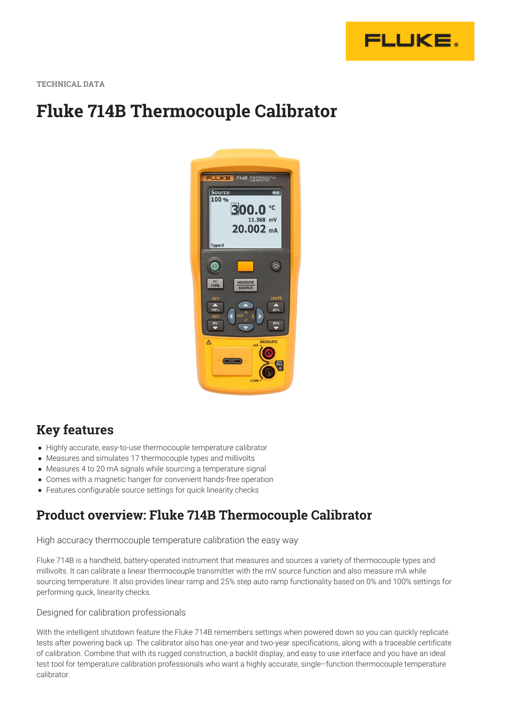

**TECHNICAL DATA**

# **Fluke 714B Thermocouple Calibrator**



### **Key features**

- Highly accurate, easy-to-use thermocouple temperature calibrator
- Measures and simulates 17 thermocouple types and millivolts
- Measures 4 to 20 mA signals while sourcing a temperature signal
- Comes with a magnetic hanger for convenient hands-free operation
- Features configurable source settings for quick linearity checks

### **Product overview: Fluke 714B Thermocouple Calibrator**

High accuracy thermocouple temperature calibration the easy way

Fluke 714B is a handheld, battery-operated instrument that measures and sources a variety of thermocouple types and millivolts. It can calibrate a linear thermocouple transmitter with the mV source function and also measure mA while sourcing temperature. It also provides linear ramp and 25% step auto ramp functionality based on 0% and 100% settings for performing quick, linearity checks.

#### Designed for calibration professionals

With the intelligent shutdown feature the Fluke 714B remembers settings when powered down so you can quickly replicate tests after powering back up. The calibrator also has one-year and two-year specifications, along with a traceable certificate of calibration. Combine that with its rugged construction, a backlit display, and easy to use interface and you have an ideal test tool for temperature calibration professionals who want a highly accurate, single–function thermocouple temperature calibrator.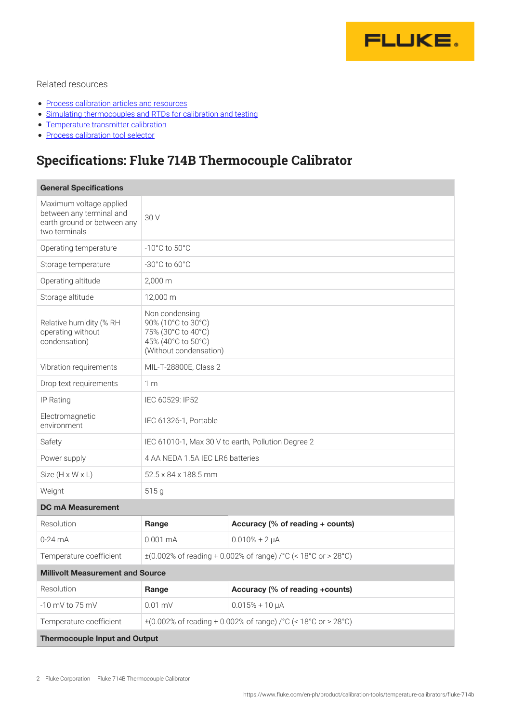

#### Related resources

- [Process calibration articles and resources](https://www.fluke.com/en-ph/learn/blog/calibration)
- [Simulating thermocouples and RTDs for calibration and testing](https://www.fluke.com/en-ph/learn/blog/calibration/rtd-and-thermocouple-simulationfor-calibration-and-testing)
- [Temperature transmitter calibration](https://www.fluke.com/en-ph/learn/blog/calibration/temperature-transmitter-calibration)
- [Process calibration tool selector](https://www.fluke.com/en-ph/products/calibration-tools/product-selector)

## **Specifications: Fluke 714B Thermocouple Calibrator**

| <b>General Specifications</b>                                                                       |                                                                                                            |                                  |  |  |
|-----------------------------------------------------------------------------------------------------|------------------------------------------------------------------------------------------------------------|----------------------------------|--|--|
| Maximum voltage applied<br>between any terminal and<br>earth ground or between any<br>two terminals | 30 V                                                                                                       |                                  |  |  |
| Operating temperature                                                                               | $-10^{\circ}$ C to $50^{\circ}$ C                                                                          |                                  |  |  |
| Storage temperature                                                                                 | $-30^{\circ}$ C to 60 $^{\circ}$ C                                                                         |                                  |  |  |
| Operating altitude                                                                                  | $2,000 \, \text{m}$                                                                                        |                                  |  |  |
| Storage altitude                                                                                    | 12,000 m                                                                                                   |                                  |  |  |
| Relative humidity (% RH<br>operating without<br>condensation)                                       | Non condensing<br>90% (10°C to 30°C)<br>75% (30°C to 40°C)<br>45% (40°C to 50°C)<br>(Without condensation) |                                  |  |  |
| Vibration requirements                                                                              | MIL-T-28800E, Class 2                                                                                      |                                  |  |  |
| Drop text requirements                                                                              | 1 <sub>m</sub>                                                                                             |                                  |  |  |
| IP Rating                                                                                           | IEC 60529: IP52                                                                                            |                                  |  |  |
| Electromagnetic<br>environment                                                                      | IEC 61326-1, Portable                                                                                      |                                  |  |  |
| Safety                                                                                              | IEC 61010-1, Max 30 V to earth, Pollution Degree 2                                                         |                                  |  |  |
| Power supply                                                                                        | 4 AA NEDA 1.5A IEC LR6 batteries                                                                           |                                  |  |  |
| Size $(H \times W \times L)$                                                                        | 52.5 x 84 x 188.5 mm                                                                                       |                                  |  |  |
| Weight                                                                                              | 515 g                                                                                                      |                                  |  |  |
| <b>DC mA Measurement</b>                                                                            |                                                                                                            |                                  |  |  |
| Resolution                                                                                          | Range                                                                                                      | Accuracy (% of reading + counts) |  |  |
| $0-24$ mA                                                                                           | $0.001 \text{ mA}$                                                                                         | $0.010% + 2 \mu A$               |  |  |
| Temperature coefficient                                                                             | $\pm (0.002\% \text{ of reading} + 0.002\% \text{ of range})$ /°C (< 18°C or > 28°C)                       |                                  |  |  |
| <b>Millivolt Measurement and Source</b>                                                             |                                                                                                            |                                  |  |  |
| Resolution                                                                                          | Range                                                                                                      | Accuracy (% of reading +counts)  |  |  |
| -10 mV to 75 mV                                                                                     | $0.01$ mV                                                                                                  | $0.015% + 10 \mu A$              |  |  |
| Temperature coefficient                                                                             | $\pm (0.002\% \text{ of reading} + 0.002\% \text{ of range})$ /°C (< 18°C or > 28°C)                       |                                  |  |  |
| <b>Thermocouple Input and Output</b>                                                                |                                                                                                            |                                  |  |  |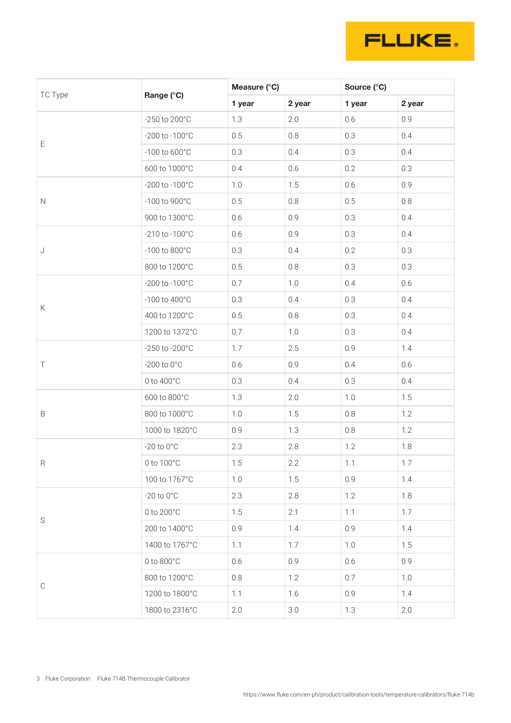

| TC Type     | Range (°C)                | Measure (°C) |        | Source (°C) |        |
|-------------|---------------------------|--------------|--------|-------------|--------|
|             |                           | 1 year       | 2 year | 1 year      | 2 year |
| E           | -250 to 200°C             | 1.3          | 2.0    | 0.6         | 0.9    |
|             | -200 to -100°C            | 0.5          | 0.8    | 0.3         | 0.4    |
|             | $-100$ to $600^{\circ}$ C | 0.3          | 0.4    | 0.3         | 0.4    |
|             | 600 to 1000°C             | 0.4          | 0.6    | 0.2         | 0.3    |
| $\hbox{N}$  | -200 to -100°C            | 1.0          | 1.5    | 0.6         | 0.9    |
|             | -100 to 900°C             | 0.5          | 0.8    | 0.5         | 0.8    |
|             | 900 to 1300°C             | 0.6          | 0.9    | 0.3         | 0.4    |
| J           | -210 to -100°C            | 0.6          | 0.9    | 0.3         | 0.4    |
|             | $-100$ to $800^{\circ}$ C | 0.3          | 0.4    | 0.2         | 0.3    |
|             | 800 to 1200°C             | 0.5          | 0.8    | 0.3         | 0.3    |
|             | -200 to -100°C            | 0.7          | 1.0    | 0.4         | 0.6    |
| Κ           | -100 to 400°C             | 0.3          | 0.4    | 0.3         | 0.4    |
|             | 400 to 1200°C             | 0.5          | 0.8    | 0.3         | 0.4    |
|             | 1200 to 1372°C            | 0.7          | 1.0    | 0.3         | 0.4    |
|             | -250 to -200°C            | 1.7          | 2.5    | 0.9         | 1.4    |
| Τ           | -200 to $0^{\circ}$ C     | 0.6          | 0.9    | 0.4         | 0.6    |
|             | 0 to 400°C                | 0.3          | 0.4    | 0.3         | 0.4    |
|             | 600 to 800°C              | 1.3          | 2.0    | 1.0         | 1.5    |
| $\mathsf B$ | 800 to 1000°C             | 1.0          | 1.5    | 0.8         | 1.2    |
|             | 1000 to 1820°C            | 0.9          | 1.3    | $0.8\,$     | 1.2    |
| ${\sf R}$   | -20 to $0^{\circ}$ C      | 2.3          | 2.8    | 1.2         | 1.8    |
|             | 0 to 100°C                | 1.5          | 2.2    | 1.1         | 1.7    |
|             | 100 to 1767°C             | 1.0          | 1.5    | 0.9         | 1.4    |
| $\mathsf S$ | $-20$ to $0^{\circ}$ C    | 2.3          | 2.8    | 1.2         | 1.8    |
|             | 0 to 200°C                | 1.5          | 2.1    | 1.1         | 1.7    |
|             | 200 to 1400°C             | 0.9          | 1.4    | 0.9         | 1.4    |
|             | 1400 to 1767°C            | 1.1          | 1.7    | 1.0         | 1.5    |
| $\mathbb C$ | 0 to 800°C                | 0.6          | 0.9    | 0.6         | 0.9    |
|             | 800 to 1200°C             | $0.8\,$      | 1.2    | 0.7         | 1.0    |
|             | 1200 to 1800°C            | 1.1          | 1.6    | 0.9         | 1.4    |
|             | 1800 to 2316°C            | 2.0          | 3.0    | 1.3         | 2.0    |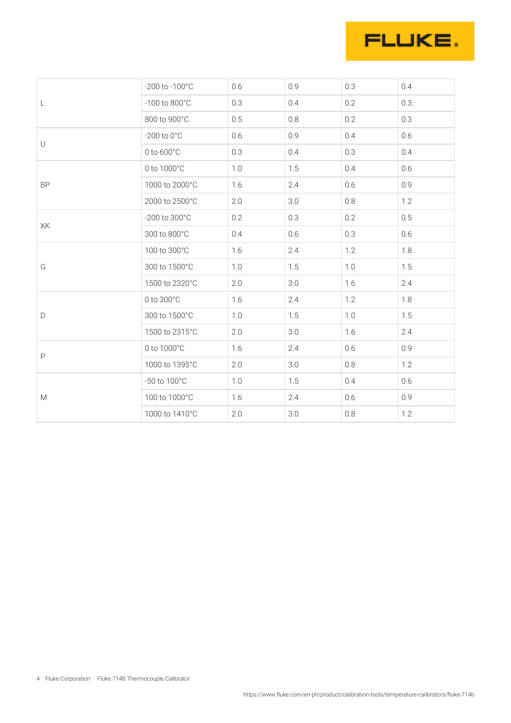

|                                                                                                            | -200 to -100°C        | 0.6 | 0.9 | 0.3 | 0.4 |
|------------------------------------------------------------------------------------------------------------|-----------------------|-----|-----|-----|-----|
| L                                                                                                          | -100 to 800°C         | 0.3 | 0.4 | 0.2 | 0.3 |
|                                                                                                            | 800 to 900°C          | 0.5 | 0.8 | 0.2 | 0.3 |
| $\cup$<br><b>BP</b>                                                                                        | -200 to $0^{\circ}$ C | 0.6 | 0.9 | 0.4 | 0.6 |
|                                                                                                            | 0 to 600°C            | 0.3 | 0.4 | 0.3 | 0.4 |
|                                                                                                            | 0 to 1000°C           | 1.0 | 1.5 | 0.4 | 0.6 |
|                                                                                                            | 1000 to 2000°C        | 1.6 | 2.4 | 0.6 | 0.9 |
|                                                                                                            | 2000 to 2500°C        | 2.0 | 3.0 | 0.8 | 1.2 |
| ХK<br>G                                                                                                    | -200 to 300°C         | 0.2 | 0.3 | 0.2 | 0.5 |
|                                                                                                            | 300 to 800°C          | 0.4 | 0.6 | 0.3 | 0.6 |
|                                                                                                            | 100 to 300°C          | 1.6 | 2.4 | 1.2 | 1.8 |
|                                                                                                            | 300 to 1500°C         | 1.0 | 1.5 | 1.0 | 1.5 |
| $\mathsf D$                                                                                                | 1500 to 2320°C        | 2.0 | 3.0 | 1.6 | 2.4 |
|                                                                                                            | 0 to 300°C            | 1.6 | 2.4 | 1.2 | 1.8 |
|                                                                                                            | 300 to 1500°C         | 1.0 | 1.5 | 1.0 | 1.5 |
| $\mathsf P$                                                                                                | 1500 to 2315°C        | 2.0 | 3.0 | 1.6 | 2.4 |
|                                                                                                            | 0 to 1000°C           | 1.6 | 2.4 | 0.6 | 0.9 |
|                                                                                                            | 1000 to 1395°C        | 2.0 | 3.0 | 0.8 | 1.2 |
| $\mathsf{M}% _{T}=\mathsf{M}_{T}\!\left( a,b\right) ,\ \mathsf{M}_{T}=\mathsf{M}_{T}\!\left( a,b\right) ,$ | -50 to 100°C          | 1.0 | 1.5 | 0.4 | 0.6 |
|                                                                                                            | 100 to 1000°C         | 1.6 | 2.4 | 0.6 | 0.9 |
|                                                                                                            | 1000 to 1410°C        | 2.0 | 3.0 | 0.8 | 1.2 |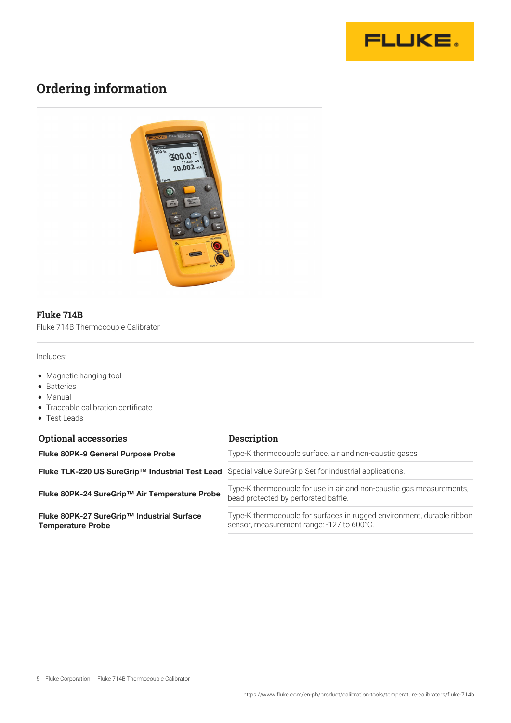

## **Ordering information**



#### **Fluke 714B**

Fluke 714B Thermocouple Calibrator

Includes:

- Magnetic hanging tool
- Batteries
- Manual
- Traceable calibration certificate
- Test Leads

| <b>Optional accessories</b>                                            | <b>Description</b>                                                                                                  |
|------------------------------------------------------------------------|---------------------------------------------------------------------------------------------------------------------|
| <b>Fluke 80PK-9 General Purpose Probe</b>                              | Type-K thermocouple surface, air and non-caustic gases                                                              |
| Fluke TLK-220 US SureGrip™ Industrial Test Lead                        | Special value SureGrip Set for industrial applications.                                                             |
| Fluke 80PK-24 SureGrip™ Air Temperature Probe                          | Type-K thermocouple for use in air and non-caustic gas measurements,<br>bead protected by perforated baffle.        |
| Fluke 80PK-27 SureGrip™ Industrial Surface<br><b>Temperature Probe</b> | Type-K thermocouple for surfaces in rugged environment, durable ribbon<br>sensor, measurement range: -127 to 600°C. |